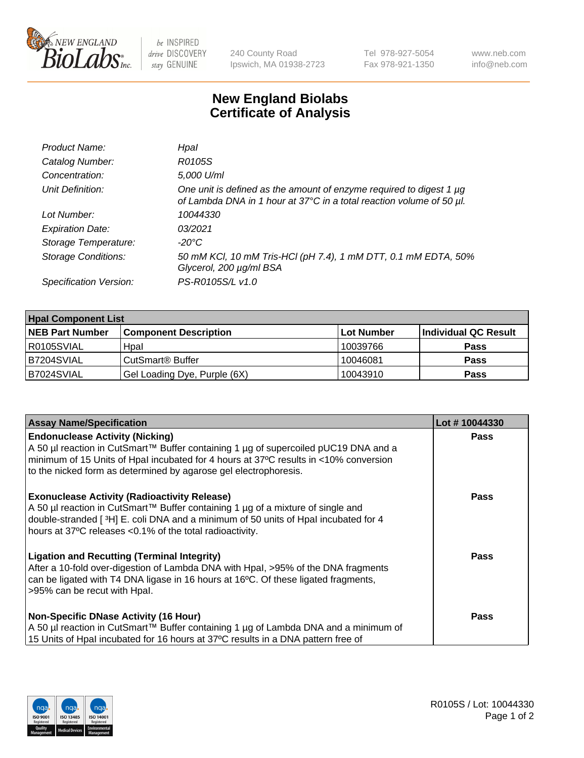

be INSPIRED drive DISCOVERY stay GENUINE

240 County Road Ipswich, MA 01938-2723 Tel 978-927-5054 Fax 978-921-1350 www.neb.com info@neb.com

## **New England Biolabs Certificate of Analysis**

| Product Name:              | Hpal                                                                                                                                        |
|----------------------------|---------------------------------------------------------------------------------------------------------------------------------------------|
| Catalog Number:            | R0105S                                                                                                                                      |
| Concentration:             | 5,000 U/ml                                                                                                                                  |
| Unit Definition:           | One unit is defined as the amount of enzyme required to digest 1 µg<br>of Lambda DNA in 1 hour at 37°C in a total reaction volume of 50 µl. |
| Lot Number:                | 10044330                                                                                                                                    |
| <b>Expiration Date:</b>    | 03/2021                                                                                                                                     |
| Storage Temperature:       | -20°C                                                                                                                                       |
| <b>Storage Conditions:</b> | 50 mM KCl, 10 mM Tris-HCl (pH 7.4), 1 mM DTT, 0.1 mM EDTA, 50%<br>Glycerol, 200 µg/ml BSA                                                   |
| Specification Version:     | PS-R0105S/L v1.0                                                                                                                            |

| <b>Hpal Component List</b> |                              |            |                      |  |  |
|----------------------------|------------------------------|------------|----------------------|--|--|
| <b>NEB Part Number</b>     | <b>Component Description</b> | Lot Number | Individual QC Result |  |  |
| I R0105SVIAL               | Hpal                         | 10039766   | <b>Pass</b>          |  |  |
| IB7204SVIAL                | CutSmart <sup>®</sup> Buffer | 10046081   | <b>Pass</b>          |  |  |
| B7024SVIAL                 | Gel Loading Dye, Purple (6X) | 10043910   | <b>Pass</b>          |  |  |

| <b>Assay Name/Specification</b>                                                                                                                                                                                                | Lot #10044330 |
|--------------------------------------------------------------------------------------------------------------------------------------------------------------------------------------------------------------------------------|---------------|
| <b>Endonuclease Activity (Nicking)</b><br>  A 50 µl reaction in CutSmart™ Buffer containing 1 µg of supercoiled pUC19 DNA and a                                                                                                | <b>Pass</b>   |
| minimum of 15 Units of Hpal incubated for 4 hours at 37°C results in <10% conversion<br>to the nicked form as determined by agarose gel electrophoresis.                                                                       |               |
| <b>Exonuclease Activity (Radioactivity Release)</b><br>  A 50 µl reaction in CutSmart™ Buffer containing 1 µg of a mixture of single and<br>double-stranded [3H] E. coli DNA and a minimum of 50 units of Hpal incubated for 4 | <b>Pass</b>   |
| hours at 37°C releases <0.1% of the total radioactivity.                                                                                                                                                                       |               |
| <b>Ligation and Recutting (Terminal Integrity)</b>                                                                                                                                                                             | Pass          |
| After a 10-fold over-digestion of Lambda DNA with Hpal, >95% of the DNA fragments<br>can be ligated with T4 DNA ligase in 16 hours at 16°C. Of these ligated fragments,                                                        |               |
| >95% can be recut with Hpal.                                                                                                                                                                                                   |               |
| Non-Specific DNase Activity (16 Hour)                                                                                                                                                                                          | <b>Pass</b>   |
| A 50 µl reaction in CutSmart™ Buffer containing 1 µg of Lambda DNA and a minimum of                                                                                                                                            |               |
| 15 Units of Hpal incubated for 16 hours at 37°C results in a DNA pattern free of                                                                                                                                               |               |